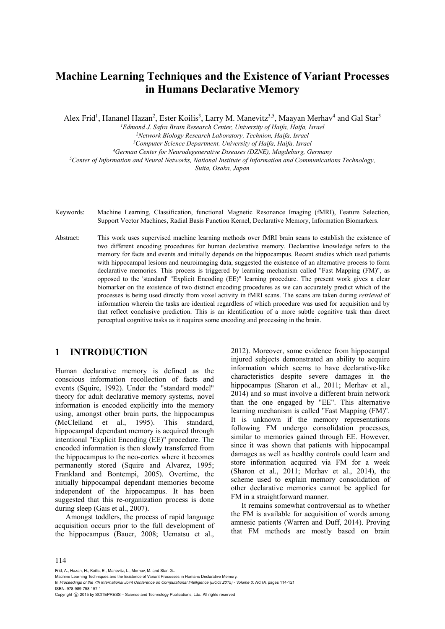# **Machine Learning Techniques and the Existence of Variant Processes in Humans Declarative Memory**

Alex Frid<sup>1</sup>, Hananel Hazan<sup>2</sup>, Ester Koilis<sup>3</sup>, Larry M. Manevitz<sup>3,5</sup>, Maayan Merhav<sup>4</sup> and Gal Star<sup>3</sup>

<sup>1</sup>Edmond J. Safra Brain Research Center, University of Haifa, Haifa, Israel

<sup>2</sup>Network Biology Research Laboratory, Technion, Haifa, Israel<br><sup>3</sup>Computer Science Department, University of Haifa, Haifa, Israel

<sup>4</sup>German Center for Neurodegenerative Diseases (DZNE), Magdeburg, Germany<br><sup>5</sup>Center of Information and Neural Networks, National Institute of Information and Communications Technology,

*Suita, Osaka, Japan* 

- Keywords: Machine Learning, Classification, functional Magnetic Resonance Imaging (fMRI), Feature Selection, Support Vector Machines, Radial Basis Function Kernel, Declarative Memory, Information Biomarkers.
- Abstract: This work uses supervised machine learning methods over fMRI brain scans to establish the existence of two different encoding procedures for human declarative memory*.* Declarative knowledge refers to the memory for facts and events and initially depends on the hippocampus. Recent studies which used patients with hippocampal lesions and neuroimaging data, suggested the existence of an alternative process to form declarative memories. This process is triggered by learning mechanism called "Fast Mapping (FM)", as opposed to the 'standard' "Explicit Encoding (EE)" learning procedure. The present work gives a clear biomarker on the existence of two distinct encoding procedures as we can accurately predict which of the processes is being used directly from voxel activity in fMRI scans. The scans are taken during *retrieval* of information wherein the tasks are identical regardless of which procedure was used for acquisition and by that reflect conclusive prediction. This is an identification of a more subtle cognitive task than direct perceptual cognitive tasks as it requires some encoding and processing in the brain.

## **1 INTRODUCTION**

Human declarative memory is defined as the conscious information recollection of facts and events (Squire, 1992). Under the "standard model" theory for adult declarative memory systems, novel information is encoded explicitly into the memory using, amongst other brain parts, the hippocampus (McClelland et al., 1995). This standard, hippocampal dependant memory is acquired through intentional "Explicit Encoding (EE)" procedure. The encoded information is then slowly transferred from the hippocampus to the neo-cortex where it becomes permanently stored (Squire and Alvarez, 1995; Frankland and Bontempi, 2005). Overtime, the initially hippocampal dependant memories become independent of the hippocampus. It has been suggested that this re-organization process is done during sleep (Gais et al., 2007).

Amongst toddlers, the process of rapid language acquisition occurs prior to the full development of the hippocampus (Bauer, 2008; Uematsu et al., 2012). Moreover, some evidence from hippocampal injured subjects demonstrated an ability to acquire information which seems to have declarative-like characteristics despite severe damages in the hippocampus (Sharon et al., 2011; Merhav et al., 2014) and so must involve a different brain network than the one engaged by "EE". This alternative learning mechanism is called "Fast Mapping (FM)". It is unknown if the memory representations following FM undergo consolidation processes, similar to memories gained through EE. However, since it was shown that patients with hippocampal damages as well as healthy controls could learn and store information acquired via FM for a week (Sharon et al., 2011; Merhav et al., 2014), the scheme used to explain memory consolidation of other declarative memories cannot be applied for FM in a straightforward manner.

It remains somewhat controversial as to whether the FM is available for acquisition of words among amnesic patients (Warren and Duff, 2014). Proving that FM methods are mostly based on brain

114

Frid, A., Hazan, H., Koilis, E., Manevitz, L., Merhav, M. and Star, G..

Machine Learning Techniques and the Existence of Variant Processes in Humans Declarative Memory.

In *Proceedings of the 7th International Joint Conference on Computational Intelligence (IJCCI 2015) - Volume 3: NCTA*, pages 114-121 ISBN: 978-989-758-157-1

Copyright C 2015 by SCITEPRESS - Science and Technology Publications, Lda. All rights reserved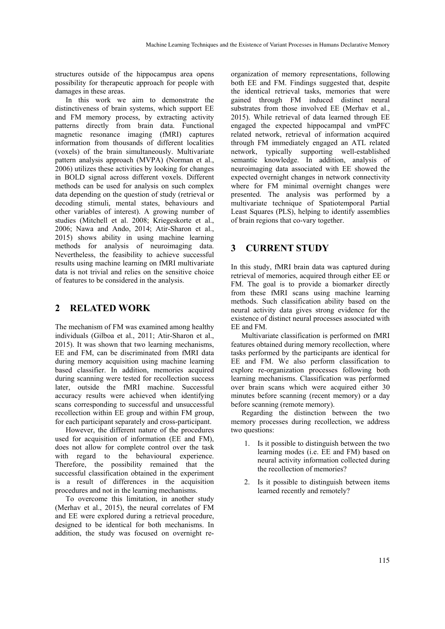structures outside of the hippocampus area opens possibility for therapeutic approach for people with damages in these areas.

In this work we aim to demonstrate the distinctiveness of brain systems, which support EE and FM memory process, by extracting activity patterns directly from brain data. Functional magnetic resonance imaging (fMRI) captures information from thousands of different localities (voxels) of the brain simultaneously. Multivariate pattern analysis approach (MVPA) (Norman et al., 2006) utilizes these activities by looking for changes in BOLD signal across different voxels. Different methods can be used for analysis on such complex data depending on the question of study (retrieval or decoding stimuli, mental states, behaviours and other variables of interest). A growing number of studies (Mitchell et al. 2008; Kriegeskorte et al., 2006; Nawa and Ando, 2014; Atir-Sharon et al., 2015) shows ability in using machine learning methods for analysis of neuroimaging data. Nevertheless, the feasibility to achieve successful results using machine learning on fMRI multivariate data is not trivial and relies on the sensitive choice of features to be considered in the analysis.

## **2 RELATED WORK**

The mechanism of FM was examined among healthy individuals (Gilboa et al., 2011; Atir-Sharon et al., 2015). It was shown that two learning mechanisms, EE and FM, can be discriminated from fMRI data during memory acquisition using machine learning based classifier. In addition, memories acquired during scanning were tested for recollection success later, outside the fMRI machine. Successful accuracy results were achieved when identifying scans corresponding to successful and unsuccessful recollection within EE group and within FM group, for each participant separately and cross-participant.

However, the different nature of the procedures used for acquisition of information (EE and FM), does not allow for complete control over the task with regard to the behavioural experience. Therefore, the possibility remained that the successful classification obtained in the experiment is a result of differences in the acquisition procedures and not in the learning mechanisms.

To overcome this limitation, in another study (Merhav et al., 2015), the neural correlates of FM and EE were explored during a retrieval procedure, designed to be identical for both mechanisms. In addition, the study was focused on overnight re-

organization of memory representations, following both EE and FM. Findings suggested that, despite the identical retrieval tasks, memories that were gained through FM induced distinct neural substrates from those involved EE (Merhav et al., 2015). While retrieval of data learned through EE engaged the expected hippocampal and vmPFC related network, retrieval of information acquired through FM immediately engaged an ATL related network, typically supporting well-established semantic knowledge. In addition, analysis of neuroimaging data associated with EE showed the expected overnight changes in network connectivity where for FM minimal overnight changes were presented. The analysis was performed by a multivariate technique of Spatiotemporal Partial Least Squares (PLS), helping to identify assemblies of brain regions that co-vary together.

## **3 CURRENT STUDY**

In this study, fMRI brain data was captured during retrieval of memories, acquired through either EE or FM. The goal is to provide a biomarker directly from these fMRI scans using machine learning methods. Such classification ability based on the neural activity data gives strong evidence for the existence of distinct neural processes associated with EE and FM.

Multivariate classification is performed on fMRI features obtained during memory recollection, where tasks performed by the participants are identical for EE and FM. We also perform classification to explore re-organization processes following both learning mechanisms. Classification was performed over brain scans which were acquired either 30 minutes before scanning (recent memory) or a day before scanning (remote memory).

Regarding the distinction between the two memory processes during recollection, we address two questions:

- 1. Is it possible to distinguish between the two learning modes (i.e. EE and FM) based on neural activity information collected during the recollection of memories?
- 2. Is it possible to distinguish between items learned recently and remotely?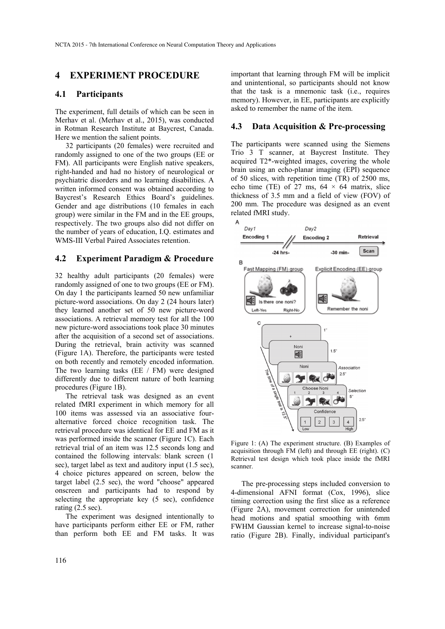### **4 EXPERIMENT PROCEDURE**

#### **4.1 Participants**

The experiment, full details of which can be seen in Merhav et al. (Merhav et al., 2015), was conducted in Rotman Research Institute at Baycrest, Canada. Here we mention the salient points.

32 participants (20 females) were recruited and randomly assigned to one of the two groups (EE or FM). All participants were English native speakers, right-handed and had no history of neurological or psychiatric disorders and no learning disabilities. A written informed consent was obtained according to Baycrest's Research Ethics Board's guidelines. Gender and age distributions (10 females in each group) were similar in the FM and in the EE groups, respectively. The two groups also did not differ on the number of years of education, I.Q. estimates and WMS-III Verbal Paired Associates retention.

#### **4.2 Experiment Paradigm & Procedure**

32 healthy adult participants (20 females) were randomly assigned of one to two groups (EE or FM). On day 1 the participants learned 50 new unfamiliar picture-word associations. On day 2 (24 hours later) they learned another set of 50 new picture-word associations. A retrieval memory test for all the 100 new picture-word associations took place 30 minutes after the acquisition of a second set of associations. During the retrieval, brain activity was scanned (Figure 1A). Therefore, the participants were tested on both recently and remotely encoded information. The two learning tasks (EE / FM) were designed differently due to different nature of both learning procedures (Figure 1B).

The retrieval task was designed as an event related fMRI experiment in which memory for all 100 items was assessed via an associative fouralternative forced choice recognition task. The retrieval procedure was identical for EE and FM as it was performed inside the scanner (Figure 1C). Each retrieval trial of an item was 12.5 seconds long and contained the following intervals: blank screen (1 sec), target label as text and auditory input (1.5 sec), 4 choice pictures appeared on screen, below the target label (2.5 sec), the word "choose" appeared onscreen and participants had to respond by selecting the appropriate key (5 sec), confidence rating (2.5 sec).

The experiment was designed intentionally to have participants perform either EE or FM, rather than perform both EE and FM tasks. It was

important that learning through FM will be implicit and unintentional, so participants should not know that the task is a mnemonic task (i.e., requires memory). However, in EE, participants are explicitly asked to remember the name of the item.

#### **4.3 Data Acquisition & Pre-processing**

The participants were scanned using the Siemens Trio 3 T scanner, at Baycrest Institute. They acquired T2\*-weighted images, covering the whole brain using an echo-planar imaging (EPI) sequence of 50 slices, with repetition time (TR) of 2500 ms, echo time (TE) of 27 ms,  $64 \times 64$  matrix, slice thickness of 3.5 mm and a field of view (FOV) of 200 mm. The procedure was designed as an event related fMRI study.



Figure 1: (A) The experiment structure. (B) Examples of acquisition through FM (left) and through EE (right). (C) Retrieval test design which took place inside the fMRI scanner.

The pre-processing steps included conversion to 4-dimensional AFNI format (Cox, 1996), slice timing correction using the first slice as a reference (Figure 2A), movement correction for unintended head motions and spatial smoothing with 6mm FWHM Gaussian kernel to increase signal-to-noise ratio (Figure 2B). Finally, individual participant's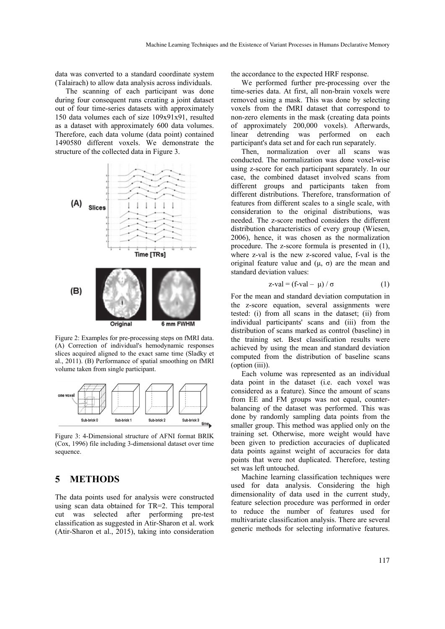data was converted to a standard coordinate system (Talairach) to allow data analysis across individuals.

The scanning of each participant was done during four consequent runs creating a joint dataset out of four time-series datasets with approximately 150 data volumes each of size 109x91x91, resulted as a dataset with approximately 600 data volumes. Therefore, each data volume (data point) contained 1490580 different voxels. We demonstrate the structure of the collected data in Figure 3.



Figure 2: Examples for pre-processing steps on fMRI data. (A) Correction of individual's hemodynamic responses slices acquired aligned to the exact same time (Sladky et al., 2011). (B) Performance of spatial smoothing on fMRI volume taken from single participant.



Figure 3: 4-Dimensional structure of AFNI format BRIK (Cox, 1996) file including 3-dimensional dataset over time sequence.

## **5 METHODS**

The data points used for analysis were constructed using scan data obtained for TR=2. This temporal cut was selected after performing pre-test classification as suggested in Atir-Sharon et al. work (Atir-Sharon et al., 2015), taking into consideration

the accordance to the expected HRF response.

We performed further pre-processing over the time-series data. At first, all non-brain voxels were removed using a mask. This was done by selecting voxels from the fMRI dataset that correspond to non-zero elements in the mask (creating data points of approximately 200,000 voxels). Afterwards, linear detrending was performed on each participant's data set and for each run separately.

Then, normalization over all scans was conducted. The normalization was done voxel-wise using z-score for each participant separately. In our case, the combined dataset involved scans from different groups and participants taken from different distributions. Therefore, transformation of features from different scales to a single scale, with consideration to the original distributions, was needed. The z-score method considers the different distribution characteristics of every group (Wiesen, 2006), hence, it was chosen as the normalization procedure. The z-score formula is presented in (1), where z-val is the new z-scored value, f-val is the original feature value and  $(μ, σ)$  are the mean and standard deviation values:

$$
z\text{-val} = (f\text{-val} - \mu) / \sigma \tag{1}
$$

For the mean and standard deviation computation in the z-score equation, several assignments were tested: (i) from all scans in the dataset; (ii) from individual participants' scans and (iii) from the distribution of scans marked as control (baseline) in the training set. Best classification results were achieved by using the mean and standard deviation computed from the distribution of baseline scans (option (iii)).

Each volume was represented as an individual data point in the dataset (i.e. each voxel was considered as a feature). Since the amount of scans from EE and FM groups was not equal, counterbalancing of the dataset was performed. This was done by randomly sampling data points from the smaller group. This method was applied only on the training set. Otherwise, more weight would have been given to prediction accuracies of duplicated data points against weight of accuracies for data points that were not duplicated. Therefore, testing set was left untouched.

Machine learning classification techniques were used for data analysis. Considering the high dimensionality of data used in the current study, feature selection procedure was performed in order to reduce the number of features used for multivariate classification analysis. There are several generic methods for selecting informative features.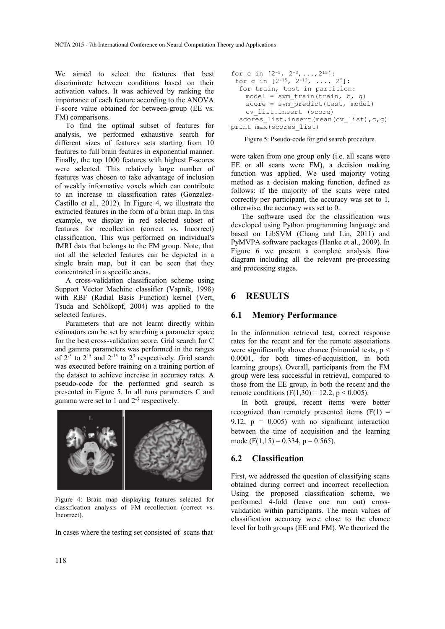We aimed to select the features that best discriminate between conditions based on their activation values. It was achieved by ranking the importance of each feature according to the ANOVA F-score value obtained for between-group (EE vs. FM) comparisons.

To find the optimal subset of features for analysis, we performed exhaustive search for different sizes of features sets starting from 10 features to full brain features in exponential manner. Finally, the top 1000 features with highest F-scores were selected. This relatively large number of features was chosen to take advantage of inclusion of weakly informative voxels which can contribute to an increase in classification rates (Gonzalez-Castillo et al., 2012). In Figure 4, we illustrate the extracted features in the form of a brain map. In this example, we display in red selected subset of features for recollection (correct vs. Incorrect) classification. This was performed on individual's fMRI data that belongs to the FM group. Note, that not all the selected features can be depicted in a single brain map, but it can be seen that they concentrated in a specific areas.

A cross-validation classification scheme using Support Vector Machine classifier (Vapnik, 1998) with RBF (Radial Basis Function) kernel (Vert, Tsuda and Schölkopf, 2004) was applied to the selected features.

Parameters that are not learnt directly within estimators can be set by searching a parameter space for the best cross-validation score. Grid search for C and gamma parameters was performed in the ranges of  $2^{-5}$  to  $2^{15}$  and  $2^{-15}$  to  $2^3$  respectively. Grid search was executed before training on a training portion of the dataset to achieve increase in accuracy rates. A pseudo-code for the performed grid search is presented in Figure 5. In all runs parameters C and gamma were set to 1 and  $2<sup>-3</sup>$  respectively.



Figure 4: Brain map displaying features selected for classification analysis of FM recollection (correct vs. Incorrect).

In cases where the testing set consisted of scans that

```
for c in [2^{-5}, 2^{-3}, \ldots, 2^{15}]:
 for g in [2^{-15}, 2^{-13}, \ldots, 2^{5}]:
   for train, test in partition: 
    model = svm train(train, c, q)
     score = svm_predict(test, model) 
    cv list.insert (score)
  scores list.insert(mean(cv_list),c,q)
print max(scores_list)
```
Figure 5: Pseudo-code for grid search procedure.

were taken from one group only (i.e. all scans were EE or all scans were FM), a decision making function was applied. We used majority voting method as a decision making function, defined as follows: if the majority of the scans were rated correctly per participant, the accuracy was set to 1, otherwise, the accuracy was set to 0.

The software used for the classification was developed using Python programming language and based on LibSVM (Chang and Lin, 2011) and PyMVPA software packages (Hanke et al., 2009). In Figure 6 we present a complete analysis flow diagram including all the relevant pre-processing and processing stages.

### **6 RESULTS**

#### **6.1 Memory Performance**

In the information retrieval test, correct response rates for the recent and for the remote associations were significantly above chance (binomial tests,  $p <$ 0.0001, for both times-of-acquisition, in both learning groups). Overall, participants from the FM group were less successful in retrieval, compared to those from the EE group, in both the recent and the remote conditions (F(1,30) = 12.2, p < 0.005).

In both groups, recent items were better recognized than remotely presented items  $(F(1) =$ 9.12,  $p = 0.005$  with no significant interaction between the time of acquisition and the learning mode (F(1,15) = 0.334, p = 0.565).

#### **6.2 Classification**

First, we addressed the question of classifying scans obtained during correct and incorrect recollection. Using the proposed classification scheme, we performed 4-fold (leave one run out) crossvalidation within participants. The mean values of classification accuracy were close to the chance level for both groups (EE and FM). We theorized the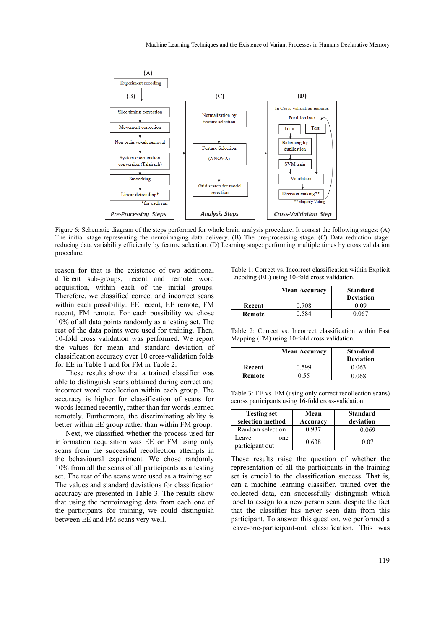

Figure 6: Schematic diagram of the steps performed for whole brain analysis procedure. It consist the following stages: (A) The initial stage representing the neuroimaging data delivery. (B) The pre-processing stage. (C) Data reduction stage: reducing data variability efficiently by feature selection. (D) Learning stage: performing multiple times by cross validation procedure.

reason for that is the existence of two additional different sub-groups, recent and remote word acquisition, within each of the initial groups. Therefore, we classified correct and incorrect scans within each possibility: EE recent, EE remote, FM recent, FM remote. For each possibility we chose 10% of all data points randomly as a testing set. The rest of the data points were used for training. Then, 10-fold cross validation was performed. We report the values for mean and standard deviation of classification accuracy over 10 cross-validation folds for EE in Table 1 and for FM in Table 2.

These results show that a trained classifier was able to distinguish scans obtained during correct and incorrect word recollection within each group. The accuracy is higher for classification of scans for words learned recently, rather than for words learned remotely. Furthermore, the discriminating ability is better within EE group rather than within FM group.

Next, we classified whether the process used for information acquisition was EE or FM using only scans from the successful recollection attempts in the behavioural experiment. We chose randomly 10% from all the scans of all participants as a testing set. The rest of the scans were used as a training set. The values and standard deviations for classification accuracy are presented in Table 3. The results show that using the neuroimaging data from each one of the participants for training, we could distinguish between EE and FM scans very well.

Table 1: Correct vs. Incorrect classification within Explicit Encoding (EE) using 10-fold cross validation.

|        | <b>Mean Accuracy</b> | <b>Standard</b><br><b>Deviation</b> |
|--------|----------------------|-------------------------------------|
| Recent | 0.708                | 0 O 9                               |
| Remote | ) 584                | ) በ67                               |

Table 2: Correct vs. Incorrect classification within Fast Mapping (FM) using 10-fold cross validation.

|        | <b>Mean Accuracy</b> | <b>Standard</b><br><b>Deviation</b> |
|--------|----------------------|-------------------------------------|
| Recent | 0.599                | 0.063                               |
| Remote | 0.55                 | 0.068                               |

Table 3: EE vs. FM (using only correct recollection scans) across participants using 16-fold cross-validation.

| <b>Testing set</b><br>selection method | Mean<br>Accuracy | <b>Standard</b><br>deviation |
|----------------------------------------|------------------|------------------------------|
| Random selection                       | በ 937            | 0 069                        |
| Leave<br>one<br>participant out        | 0.638            | 0.07                         |

These results raise the question of whether the representation of all the participants in the training set is crucial to the classification success. That is, can a machine learning classifier, trained over the collected data, can successfully distinguish which label to assign to a new person scan, despite the fact that the classifier has never seen data from this participant. To answer this question, we performed a leave-one-participant-out classification. This was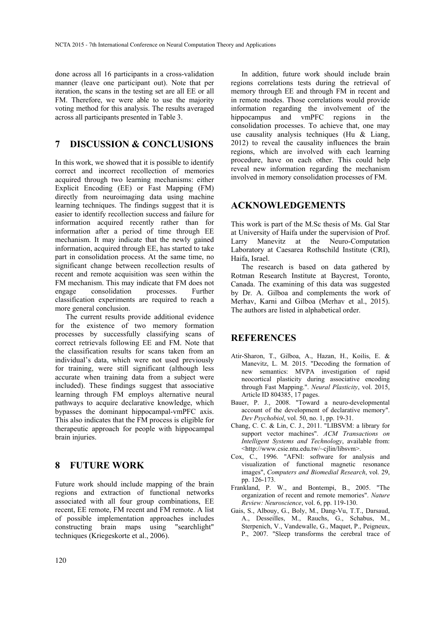done across all 16 participants in a cross-validation manner (leave one participant out). Note that per iteration, the scans in the testing set are all EE or all FM. Therefore, we were able to use the majority voting method for this analysis. The results averaged across all participants presented in Table 3.

### **7 DISCUSSION & CONCLUSIONS**

In this work, we showed that it is possible to identify correct and incorrect recollection of memories acquired through two learning mechanisms: either Explicit Encoding (EE) or Fast Mapping (FM) directly from neuroimaging data using machine learning techniques. The findings suggest that it is easier to identify recollection success and failure for information acquired recently rather than for information after a period of time through EE mechanism. It may indicate that the newly gained information, acquired through EE, has started to take part in consolidation process. At the same time, no significant change between recollection results of recent and remote acquisition was seen within the FM mechanism. This may indicate that FM does not engage consolidation processes. Further classification experiments are required to reach a more general conclusion.

The current results provide additional evidence for the existence of two memory formation processes by successfully classifying scans of correct retrievals following EE and FM. Note that the classification results for scans taken from an individual's data, which were not used previously for training, were still significant (although less accurate when training data from a subject were included). These findings suggest that associative learning through FM employs alternative neural pathways to acquire declarative knowledge, which bypasses the dominant hippocampal-vmPFC axis. This also indicates that the FM process is eligible for therapeutic approach for people with hippocampal brain injuries.

## **8 FUTURE WORK**

Future work should include mapping of the brain regions and extraction of functional networks associated with all four group combinations, EE recent, EE remote, FM recent and FM remote. A list of possible implementation approaches includes constructing brain maps using "searchlight" techniques (Kriegeskorte et al., 2006).

In addition, future work should include brain regions correlations tests during the retrieval of memory through EE and through FM in recent and in remote modes. Those correlations would provide information regarding the involvement of the hippocampus and vmPFC regions in the consolidation processes. To achieve that, one may use causality analysis techniques (Hu  $&$  Liang, 2012) to reveal the causality influences the brain regions, which are involved with each learning procedure, have on each other. This could help reveal new information regarding the mechanism involved in memory consolidation processes of FM.

### **ACKNOWLEDGEMENTS**

This work is part of the M.Sc thesis of Ms. Gal Star at University of Haifa under the supervision of Prof. Larry Manevitz at the Neuro-Computation Laboratory at Caesarea Rothschild Institute (CRI), Haifa, Israel.

The research is based on data gathered by Rotman Research Institute at Baycrest, Toronto, Canada. The examining of this data was suggested by Dr. A. Gilboa and complements the work of Merhav, Karni and Gilboa (Merhav et al., 2015). The authors are listed in alphabetical order.

### **REFERENCES**

- Atir-Sharon, T., Gilboa, A., Hazan, H., Koilis, E. & Manevitz, L. M. 2015. "Decoding the formation of new semantics: MVPA investigation of rapid neocortical plasticity during associative encoding through Fast Mapping.". *Neural Plasticity*, vol. 2015, Article ID 804385, 17 pages.
- Bauer, P. J., 2008. "Toward a neuro-developmental account of the development of declarative memory". *Dev Psychobiol*, vol. 50, no. 1, pp. 19-31.
- Chang, C. C. & Lin, C. J., 2011. "LIBSVM: a library for support vector machines". *ACM Transactions on Intelligent Systems and Technology*, available from: <http://www.csie.ntu.edu.tw/~cjlin/libsvm>.
- Cox, C., 1996. "AFNI: software for analysis and visualization of functional magnetic resonance images", *Computers and Biomedial Research*, vol. 29, pp. 126-173.
- Frankland, P. W., and Bontempi, B., 2005. "The organization of recent and remote memories". *Nature Review: Neuroscience*, vol. 6, pp. 119-130.
- Gais, S., Albouy, G., Boly, M., Dang-Vu, T.T., Darsaud, A., Desseilles, M., Rauchs, G., Schabus, M., Sterpenich, V., Vandewalle, G., Maquet, P., Peigneux, P., 2007. "Sleep transforms the cerebral trace of